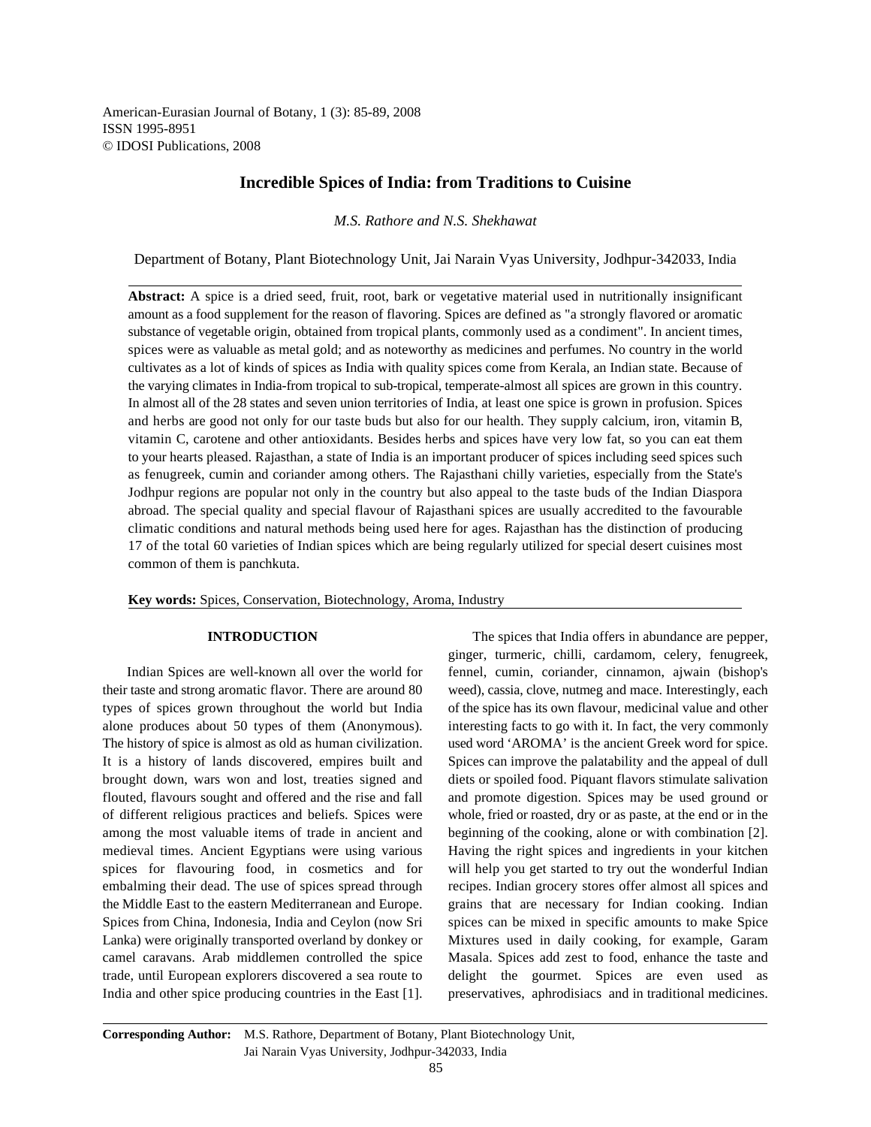American-Eurasian Journal of Botany, 1 (3): 85-89, 2008 ISSN 1995-8951 © IDOSI Publications, 2008

# **Incredible Spices of India: from Traditions to Cuisine**

*M.S. Rathore and N.S. Shekhawat*

Department of Botany, Plant Biotechnology Unit, Jai Narain Vyas University, Jodhpur-342033, India

**Abstract:** A spice is a dried seed, fruit, root, bark or vegetative material used in nutritionally insignificant amount as a food supplement for the reason of flavoring. Spices are defined as "a strongly flavored or aromatic substance of vegetable origin, obtained from tropical plants, commonly used as a condiment". In ancient times, spices were as valuable as metal gold; and as noteworthy as medicines and perfumes. No country in the world cultivates as a lot of kinds of spices as India with quality spices come from Kerala, an Indian state. Because of the varying climates in India-from tropical to sub-tropical, temperate-almost all spices are grown in this country. In almost all of the 28 states and seven union territories of India, at least one spice is grown in profusion. Spices and herbs are good not only for our taste buds but also for our health. They supply calcium, iron, vitamin B, vitamin C, carotene and other antioxidants. Besides herbs and spices have very low fat, so you can eat them to your hearts pleased. Rajasthan, a state of India is an important producer of spices including seed spices such as fenugreek, cumin and coriander among others. The Rajasthani chilly varieties, especially from the State's Jodhpur regions are popular not only in the country but also appeal to the taste buds of the Indian Diaspora abroad. The special quality and special flavour of Rajasthani spices are usually accredited to the favourable climatic conditions and natural methods being used here for ages. Rajasthan has the distinction of producing 17 of the total 60 varieties of Indian spices which are being regularly utilized for special desert cuisines most common of them is panchkuta.

**Key words:** Spices, Conservation, Biotechnology, Aroma, Industry

their taste and strong aromatic flavor. There are around 80 weed), cassia, clove, nutmeg and mace. Interestingly, each types of spices grown throughout the world but India of the spice has its own flavour, medicinal value and other alone produces about 50 types of them (Anonymous). interesting facts to go with it. In fact, the very commonly The history of spice is almost as old as human civilization. used word 'AROMA' is the ancient Greek word for spice. It is a history of lands discovered, empires built and Spices can improve the palatability and the appeal of dull brought down, wars won and lost, treaties signed and diets or spoiled food. Piquant flavors stimulate salivation flouted, flavours sought and offered and the rise and fall and promote digestion. Spices may be used ground or of different religious practices and beliefs. Spices were whole, fried or roasted, dry or as paste, at the end or in the among the most valuable items of trade in ancient and beginning of the cooking, alone or with combination [2]. medieval times. Ancient Egyptians were using various Having the right spices and ingredients in your kitchen spices for flavouring food, in cosmetics and for will help you get started to try out the wonderful Indian embalming their dead. The use of spices spread through recipes. Indian grocery stores offer almost all spices and the Middle East to the eastern Mediterranean and Europe. grains that are necessary for Indian cooking. Indian Spices from China, Indonesia, India and Ceylon (now Sri spices can be mixed in specific amounts to make Spice Lanka) were originally transported overland by donkey or Mixtures used in daily cooking, for example, Garam camel caravans. Arab middlemen controlled the spice Masala. Spices add zest to food, enhance the taste and trade, until European explorers discovered a sea route to delight the gourmet. Spices are even used as India and other spice producing countries in the East [1]. preservatives, aphrodisiacs and in traditional medicines.

**INTRODUCTION** The spices that India offers in abundance are pepper, Indian Spices are well-known all over the world for fennel, cumin, coriander, cinnamon, ajwain (bishop's ginger, turmeric, chilli, cardamom, celery, fenugreek,

**Corresponding Author:** M.S. Rathore, Department of Botany, Plant Biotechnology Unit, Jai Narain Vyas University, Jodhpur-342033, India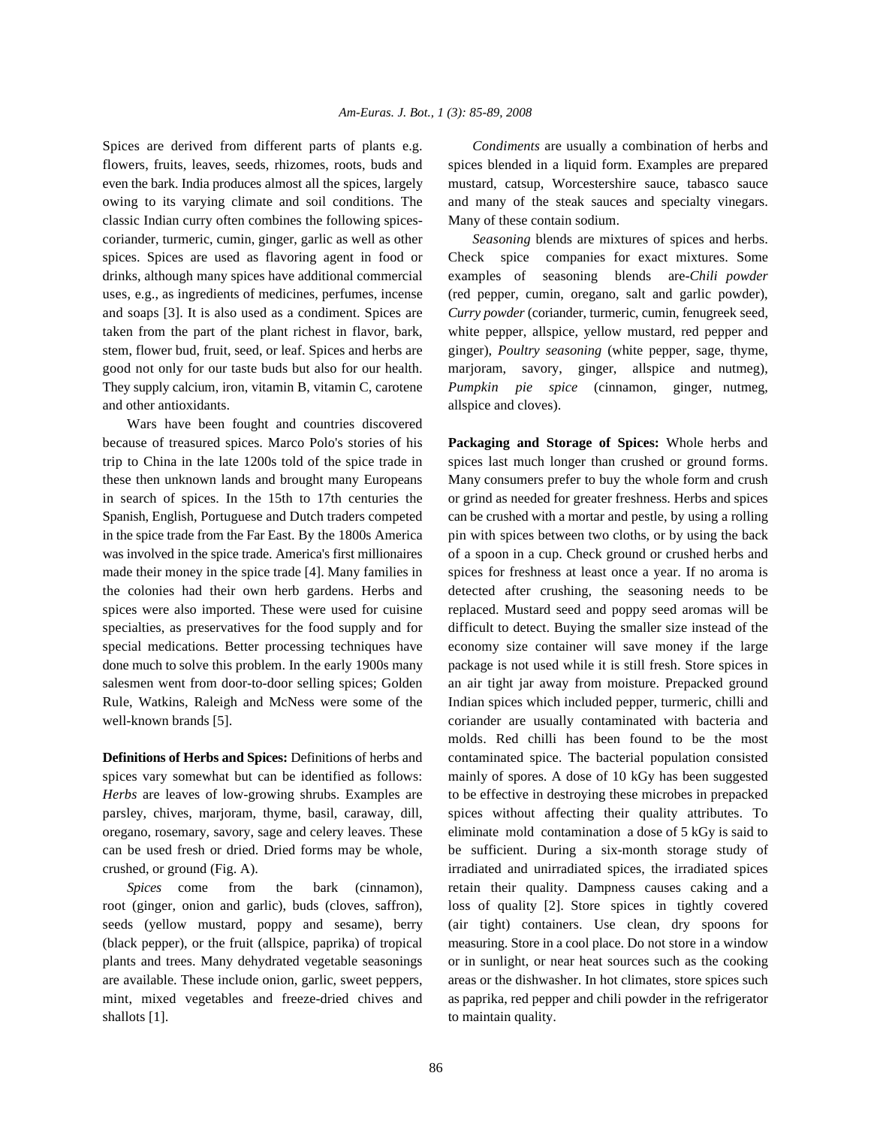flowers, fruits, leaves, seeds, rhizomes, roots, buds and spices blended in a liquid form. Examples are prepared even the bark. India produces almost all the spices, largely mustard, catsup, Worcestershire sauce, tabasco sauce owing to its varying climate and soil conditions. The and many of the steak sauces and specialty vinegars. classic Indian curry often combines the following spices- Many of these contain sodium. coriander, turmeric, cumin, ginger, garlic as well as other *Seasoning* blends are mixtures of spices and herbs. spices. Spices are used as flavoring agent in food or Check spice companies for exact mixtures. Some drinks, although many spices have additional commercial examples of seasoning blends are-*Chili powder* uses, e.g., as ingredients of medicines, perfumes, incense (red pepper, cumin, oregano, salt and garlic powder), and soaps [3]. It is also used as a condiment. Spices are *Curry powder* (coriander, turmeric, cumin, fenugreek seed, taken from the part of the plant richest in flavor, bark, white pepper, allspice, yellow mustard, red pepper and stem, flower bud, fruit, seed, or leaf. Spices and herbs are ginger), *Poultry seasoning* (white pepper, sage, thyme, good not only for our taste buds but also for our health. marjoram, savory, ginger, allspice and nutmeg), They supply calcium, iron, vitamin B, vitamin C, carotene *Pumpkin pie spice* (cinnamon, ginger, nutmeg, and other antioxidants.  $allspace$  and cloves).

Wars have been fought and countries discovered because of treasured spices. Marco Polo's stories of his **Packaging and Storage of Spices:** Whole herbs and trip to China in the late 1200s told of the spice trade in spices last much longer than crushed or ground forms. these then unknown lands and brought many Europeans Many consumers prefer to buy the whole form and crush in search of spices. In the 15th to 17th centuries the or grind as needed for greater freshness. Herbs and spices Spanish, English, Portuguese and Dutch traders competed can be crushed with a mortar and pestle, by using a rolling in the spice trade from the Far East. By the 1800s America pin with spices between two cloths, or by using the back was involved in the spice trade. America's first millionaires of a spoon in a cup. Check ground or crushed herbs and made their money in the spice trade [4]. Many families in spices for freshness at least once a year. If no aroma is the colonies had their own herb gardens. Herbs and detected after crushing, the seasoning needs to be spices were also imported. These were used for cuisine replaced. Mustard seed and poppy seed aromas will be specialties, as preservatives for the food supply and for difficult to detect. Buying the smaller size instead of the special medications. Better processing techniques have economy size container will save money if the large done much to solve this problem. In the early 1900s many package is not used while it is still fresh. Store spices in salesmen went from door-to-door selling spices; Golden an air tight jar away from moisture. Prepacked ground Rule, Watkins, Raleigh and McNess were some of the Indian spices which included pepper, turmeric, chilli and well-known brands [5]. The coriander are usually contaminated with bacteria and

spices vary somewhat but can be identified as follows: mainly of spores. A dose of 10 kGy has been suggested *Herbs* are leaves of low-growing shrubs. Examples are to be effective in destroying these microbes in prepacked parsley, chives, marjoram, thyme, basil, caraway, dill, spices without affecting their quality attributes. To oregano, rosemary, savory, sage and celery leaves. These eliminate mold contamination a dose of 5 kGy is said to can be used fresh or dried. Dried forms may be whole, be sufficient. During a six-month storage study of crushed, or ground (Fig. A). irradiated and unirradiated spices, the irradiated spices

root (ginger, onion and garlic), buds (cloves, saffron), loss of quality [2]. Store spices in tightly covered seeds (yellow mustard, poppy and sesame), berry (air tight) containers. Use clean, dry spoons for (black pepper), or the fruit (allspice, paprika) of tropical measuring. Store in a cool place. Do not store in a window plants and trees. Many dehydrated vegetable seasonings or in sunlight, or near heat sources such as the cooking are available. These include onion, garlic, sweet peppers, areas or the dishwasher. In hot climates, store spices such mint, mixed vegetables and freeze-dried chives and as paprika, red pepper and chili powder in the refrigerator shallots [1]. to maintain quality.

Spices are derived from different parts of plants e.g. *Condiments* are usually a combination of herbs and

**Definitions of Herbs and Spices:** Definitions of herbs and contaminated spice. The bacterial population consisted *Spices* come from the bark (cinnamon), retain their quality. Dampness causes caking and a molds. Red chilli has been found to be the most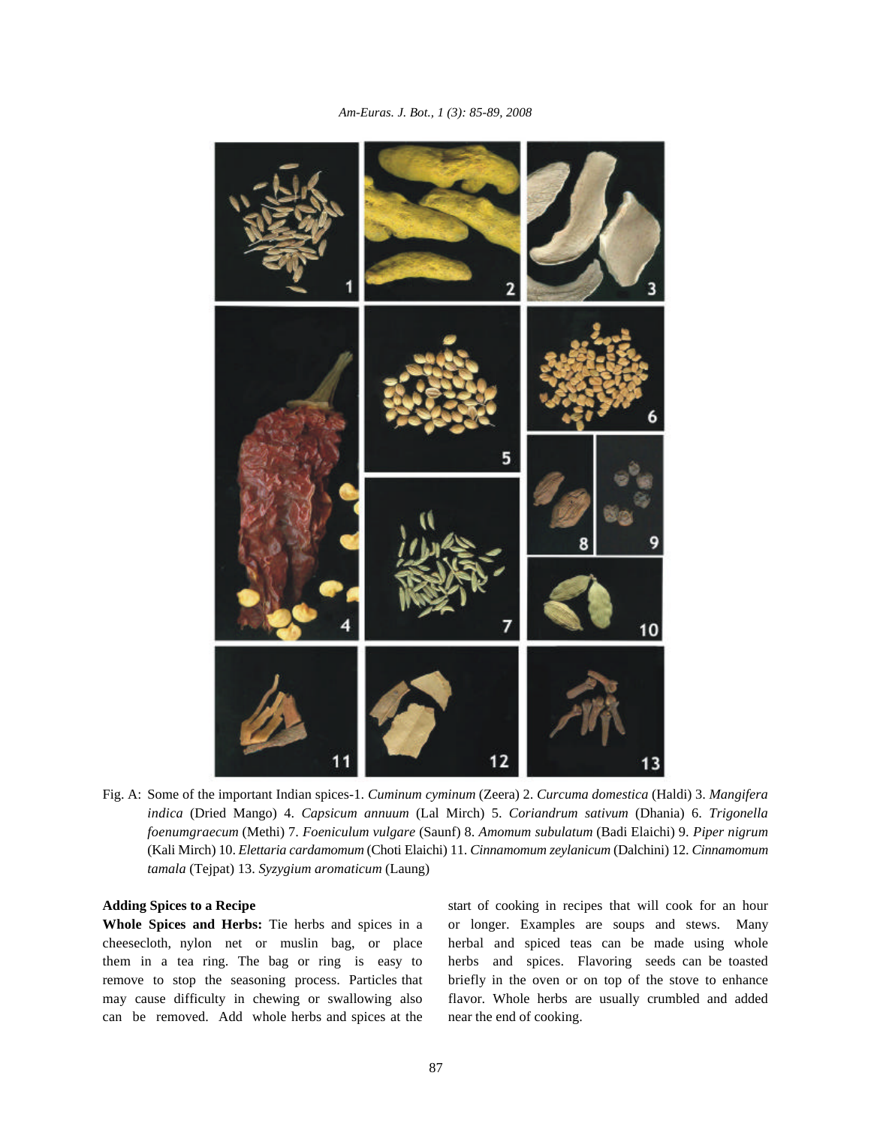

Fig. A: Some of the important Indian spices-1. *Cuminum cyminum* (Zeera) 2. *Curcuma domestica* (Haldi) 3. *Mangifera indica* (Dried Mango) 4. *Capsicum annuum* (Lal Mirch) 5. *Coriandrum sativum* (Dhania) 6. *Trigonella foenumgraecum* (Methi) 7. *Foeniculum vulgare* (Saunf) 8. *Amomum subulatum* (Badi Elaichi) 9. *Piper nigrum* (Kali Mirch) 10. *Elettaria cardamomum* (Choti Elaichi) 11. *Cinnamomum zeylanicum* (Dalchini) 12. *Cinnamomum tamala* (Tejpat) 13. *Syzygium aromaticum* (Laung)

cheesecloth, nylon net or muslin bag, or place herbal and spiced teas can be made using whole them in a tea ring. The bag or ring is easy to herbs and spices. Flavoring seeds can be toasted remove to stop the seasoning process. Particles that briefly in the oven or on top of the stove to enhance may cause difficulty in chewing or swallowing also flavor. Whole herbs are usually crumbled and added can be removed. Add whole herbs and spices at the near the end of cooking.

**Adding Spices to a Recipe** start of cooking in recipes that will cook for an hour **Whole Spices and Herbs:** Tie herbs and spices in a or longer. Examples are soups and stews. Many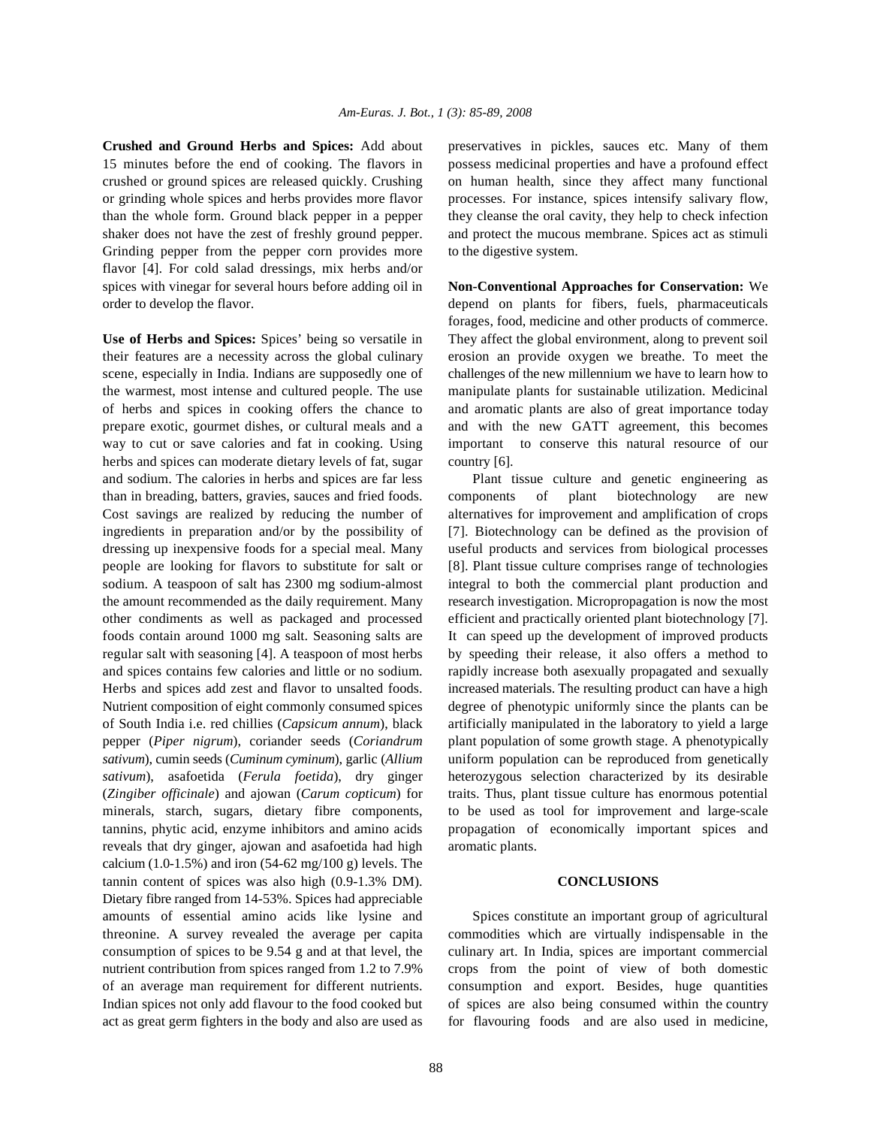15 minutes before the end of cooking. The flavors in possess medicinal properties and have a profound effect crushed or ground spices are released quickly. Crushing on human health, since they affect many functional or grinding whole spices and herbs provides more flavor processes. For instance, spices intensify salivary flow, than the whole form. Ground black pepper in a pepper they cleanse the oral cavity, they help to check infection shaker does not have the zest of freshly ground pepper. and protect the mucous membrane. Spices act as stimuli Grinding pepper from the pepper corn provides more to the digestive system. flavor [4]. For cold salad dressings, mix herbs and/or spices with vinegar for several hours before adding oil in **Non-Conventional Approaches for Conservation:** We order to develop the flavor. depend on plants for fibers, fuels, pharmaceuticals

their features are a necessity across the global culinary erosion an provide oxygen we breathe. To meet the scene, especially in India. Indians are supposedly one of challenges of the new millennium we have to learn how to the warmest, most intense and cultured people. The use manipulate plants for sustainable utilization. Medicinal of herbs and spices in cooking offers the chance to and aromatic plants are also of great importance today prepare exotic, gourmet dishes, or cultural meals and a and with the new GATT agreement, this becomes way to cut or save calories and fat in cooking. Using important to conserve this natural resource of our herbs and spices can moderate dietary levels of fat, sugar country [6]. and sodium. The calories in herbs and spices are far less Plant tissue culture and genetic engineering as than in breading, batters, gravies, sauces and fried foods. components of plant biotechnology are new Cost savings are realized by reducing the number of alternatives for improvement and amplification of crops ingredients in preparation and/or by the possibility of [7]. Biotechnology can be defined as the provision of dressing up inexpensive foods for a special meal. Many useful products and services from biological processes people are looking for flavors to substitute for salt or [8]. Plant tissue culture comprises range of technologies sodium. A teaspoon of salt has 2300 mg sodium-almost integral to both the commercial plant production and the amount recommended as the daily requirement. Many research investigation. Micropropagation is now the most other condiments as well as packaged and processed efficient and practically oriented plant biotechnology [7]. foods contain around 1000 mg salt. Seasoning salts are It can speed up the development of improved products regular salt with seasoning [4]. A teaspoon of most herbs by speeding their release, it also offers a method to and spices contains few calories and little or no sodium. rapidly increase both asexually propagated and sexually Herbs and spices add zest and flavor to unsalted foods. increased materials. The resulting product can have a high Nutrient composition of eight commonly consumed spices degree of phenotypic uniformly since the plants can be of South India i.e. red chillies (*Capsicum annum*), black artificially manipulated in the laboratory to yield a large pepper (*Piper nigrum*), coriander seeds (*Coriandrum* plant population of some growth stage. A phenotypically *sativum*), cumin seeds (*Cuminum cyminum*), garlic (*Allium* uniform population can be reproduced from genetically *sativum*), asafoetida (*Ferula foetida*), dry ginger heterozygous selection characterized by its desirable (*Zingiber officinale*) and ajowan (*Carum copticum*) for traits. Thus, plant tissue culture has enormous potential minerals, starch, sugars, dietary fibre components, to be used as tool for improvement and large-scale tannins, phytic acid, enzyme inhibitors and amino acids propagation of economically important spices and reveals that dry ginger, ajowan and asafoetida had high aromatic plants. calcium  $(1.0-1.5\%)$  and iron  $(54-62 \text{ mg}/100 \text{ g})$  levels. The tannin content of spices was also high (0.9-1.3% DM). **CONCLUSIONS** Dietary fibre ranged from 14-53%. Spices had appreciable amounts of essential amino acids like lysine and Spices constitute an important group of agricultural threonine. A survey revealed the average per capita commodities which are virtually indispensable in the consumption of spices to be 9.54 g and at that level, the culinary art. In India, spices are important commercial nutrient contribution from spices ranged from 1.2 to 7.9% crops from the point of view of both domestic of an average man requirement for different nutrients. consumption and export. Besides, huge quantities Indian spices not only add flavour to the food cooked but of spices are also being consumed within the country act as great germ fighters in the body and also are used as for flavouring foods and are also used in medicine,

**Crushed and Ground Herbs and Spices:** Add about preservatives in pickles, sauces etc. Many of them

**Use of Herbs and Spices:** Spices' being so versatile in They affect the global environment, along to prevent soil forages, food, medicine and other products of commerce.